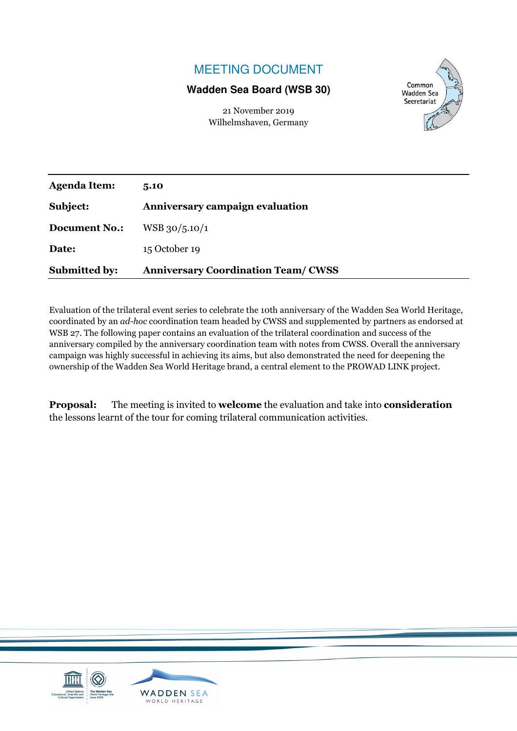# MEETING DOCUMENT

### **Wadden Sea Board (WSB 30)**

21 November 2019 Wilhelmshaven, Germany



| <b>Agenda Item:</b>  | 5.10                                      |
|----------------------|-------------------------------------------|
| Subject:             | Anniversary campaign evaluation           |
| <b>Document No.:</b> | $WSB$ 30/5.10/1                           |
| Date:                | 15 October 19                             |
| <b>Submitted by:</b> | <b>Anniversary Coordination Team/CWSS</b> |

Evaluation of the trilateral event series to celebrate the 10th anniversary of the Wadden Sea World Heritage, coordinated by an *ad-hoc* coordination team headed by CWSS and supplemented by partners as endorsed at WSB 27. The following paper contains an evaluation of the trilateral coordination and success of the anniversary compiled by the anniversary coordination team with notes from CWSS. Overall the anniversary campaign was highly successful in achieving its aims, but also demonstrated the need for deepening the ownership of the Wadden Sea World Heritage brand, a central element to the PROWAD LINK project.

**Proposal:** The meeting is invited to **welcome** the evaluation and take into **consideration** the lessons learnt of the tour for coming trilateral communication activities.

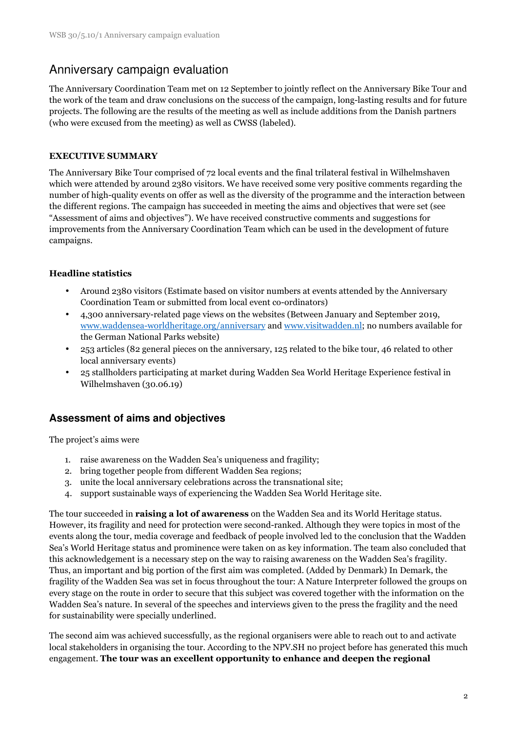# Anniversary campaign evaluation

The Anniversary Coordination Team met on 12 September to jointly reflect on the Anniversary Bike Tour and the work of the team and draw conclusions on the success of the campaign, long-lasting results and for future projects. The following are the results of the meeting as well as include additions from the Danish partners (who were excused from the meeting) as well as CWSS (labeled).

### **EXECUTIVE SUMMARY**

The Anniversary Bike Tour comprised of 72 local events and the final trilateral festival in Wilhelmshaven which were attended by around 2380 visitors. We have received some very positive comments regarding the number of high-quality events on offer as well as the diversity of the programme and the interaction between the different regions. The campaign has succeeded in meeting the aims and objectives that were set (see "Assessment of aims and objectives"). We have received constructive comments and suggestions for improvements from the Anniversary Coordination Team which can be used in the development of future campaigns.

### **Headline statistics**

- Around 2380 visitors (Estimate based on visitor numbers at events attended by the Anniversary Coordination Team or submitted from local event co-ordinators)
- 4,300 anniversary-related page views on the websites (Between January and September 2019, www.waddensea-worldheritage.org/anniversary and www.visitwadden.nl; no numbers available for the German National Parks website)
- 253 articles (82 general pieces on the anniversary, 125 related to the bike tour, 46 related to other local anniversary events)
- 25 stallholders participating at market during Wadden Sea World Heritage Experience festival in Wilhelmshaven (30.06.19)

## **Assessment of aims and objectives**

The project's aims were

- 1. raise awareness on the Wadden Sea's uniqueness and fragility;
- 2. bring together people from different Wadden Sea regions;
- 3. unite the local anniversary celebrations across the transnational site;
- 4. support sustainable ways of experiencing the Wadden Sea World Heritage site.

The tour succeeded in **raising a lot of awareness** on the Wadden Sea and its World Heritage status. However, its fragility and need for protection were second-ranked. Although they were topics in most of the events along the tour, media coverage and feedback of people involved led to the conclusion that the Wadden Sea's World Heritage status and prominence were taken on as key information. The team also concluded that this acknowledgement is a necessary step on the way to raising awareness on the Wadden Sea's fragility. Thus, an important and big portion of the first aim was completed. (Added by Denmark) In Demark, the fragility of the Wadden Sea was set in focus throughout the tour: A Nature Interpreter followed the groups on every stage on the route in order to secure that this subject was covered together with the information on the Wadden Sea's nature. In several of the speeches and interviews given to the press the fragility and the need for sustainability were specially underlined.

The second aim was achieved successfully, as the regional organisers were able to reach out to and activate local stakeholders in organising the tour. According to the NPV.SH no project before has generated this much engagement. **The tour was an excellent opportunity to enhance and deepen the regional**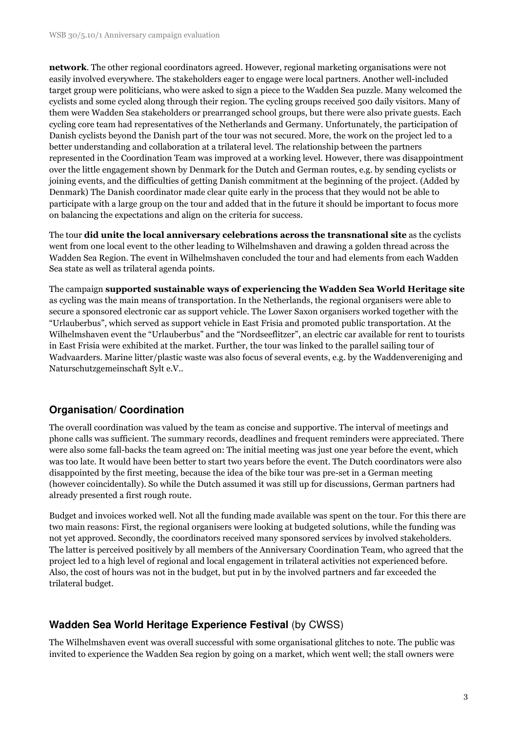**network**. The other regional coordinators agreed. However, regional marketing organisations were not easily involved everywhere. The stakeholders eager to engage were local partners. Another well-included target group were politicians, who were asked to sign a piece to the Wadden Sea puzzle. Many welcomed the cyclists and some cycled along through their region. The cycling groups received 500 daily visitors. Many of them were Wadden Sea stakeholders or prearranged school groups, but there were also private guests. Each cycling core team had representatives of the Netherlands and Germany. Unfortunately, the participation of Danish cyclists beyond the Danish part of the tour was not secured. More, the work on the project led to a better understanding and collaboration at a trilateral level. The relationship between the partners represented in the Coordination Team was improved at a working level. However, there was disappointment over the little engagement shown by Denmark for the Dutch and German routes, e.g. by sending cyclists or joining events, and the difficulties of getting Danish commitment at the beginning of the project. (Added by Denmark) The Danish coordinator made clear quite early in the process that they would not be able to participate with a large group on the tour and added that in the future it should be important to focus more on balancing the expectations and align on the criteria for success.

The tour **did unite the local anniversary celebrations across the transnational site** as the cyclists went from one local event to the other leading to Wilhelmshaven and drawing a golden thread across the Wadden Sea Region. The event in Wilhelmshaven concluded the tour and had elements from each Wadden Sea state as well as trilateral agenda points.

The campaign **supported sustainable ways of experiencing the Wadden Sea World Heritage site** as cycling was the main means of transportation. In the Netherlands, the regional organisers were able to secure a sponsored electronic car as support vehicle. The Lower Saxon organisers worked together with the "Urlauberbus", which served as support vehicle in East Frisia and promoted public transportation. At the Wilhelmshaven event the "Urlauberbus" and the "Nordseeflitzer", an electric car available for rent to tourists in East Frisia were exhibited at the market. Further, the tour was linked to the parallel sailing tour of Wadvaarders. Marine litter/plastic waste was also focus of several events, e.g. by the Waddenvereniging and Naturschutzgemeinschaft Sylt e.V..

## **Organisation/ Coordination**

The overall coordination was valued by the team as concise and supportive. The interval of meetings and phone calls was sufficient. The summary records, deadlines and frequent reminders were appreciated. There were also some fall-backs the team agreed on: The initial meeting was just one year before the event, which was too late. It would have been better to start two years before the event. The Dutch coordinators were also disappointed by the first meeting, because the idea of the bike tour was pre-set in a German meeting (however coincidentally). So while the Dutch assumed it was still up for discussions, German partners had already presented a first rough route.

Budget and invoices worked well. Not all the funding made available was spent on the tour. For this there are two main reasons: First, the regional organisers were looking at budgeted solutions, while the funding was not yet approved. Secondly, the coordinators received many sponsored services by involved stakeholders. The latter is perceived positively by all members of the Anniversary Coordination Team, who agreed that the project led to a high level of regional and local engagement in trilateral activities not experienced before. Also, the cost of hours was not in the budget, but put in by the involved partners and far exceeded the trilateral budget.

## **Wadden Sea World Heritage Experience Festival** (by CWSS)

The Wilhelmshaven event was overall successful with some organisational glitches to note. The public was invited to experience the Wadden Sea region by going on a market, which went well; the stall owners were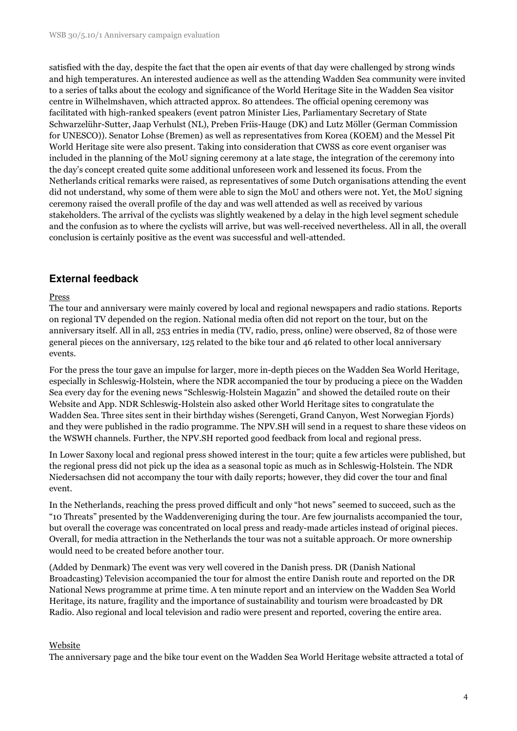satisfied with the day, despite the fact that the open air events of that day were challenged by strong winds and high temperatures. An interested audience as well as the attending Wadden Sea community were invited to a series of talks about the ecology and significance of the World Heritage Site in the Wadden Sea visitor centre in Wilhelmshaven, which attracted approx. 80 attendees. The official opening ceremony was facilitated with high-ranked speakers (event patron Minister Lies, Parliamentary Secretary of State Schwarzelühr-Sutter, Jaap Verhulst (NL), Preben Friis-Hauge (DK) and Lutz Möller (German Commission for UNESCO)). Senator Lohse (Bremen) as well as representatives from Korea (KOEM) and the Messel Pit World Heritage site were also present. Taking into consideration that CWSS as core event organiser was included in the planning of the MoU signing ceremony at a late stage, the integration of the ceremony into the day's concept created quite some additional unforeseen work and lessened its focus. From the Netherlands critical remarks were raised, as representatives of some Dutch organisations attending the event did not understand, why some of them were able to sign the MoU and others were not. Yet, the MoU signing ceremony raised the overall profile of the day and was well attended as well as received by various stakeholders. The arrival of the cyclists was slightly weakened by a delay in the high level segment schedule and the confusion as to where the cyclists will arrive, but was well-received nevertheless. All in all, the overall conclusion is certainly positive as the event was successful and well-attended.

### **External feedback**

#### Press

The tour and anniversary were mainly covered by local and regional newspapers and radio stations. Reports on regional TV depended on the region. National media often did not report on the tour, but on the anniversary itself. All in all, 253 entries in media (TV, radio, press, online) were observed, 82 of those were general pieces on the anniversary, 125 related to the bike tour and 46 related to other local anniversary events.

For the press the tour gave an impulse for larger, more in-depth pieces on the Wadden Sea World Heritage, especially in Schleswig-Holstein, where the NDR accompanied the tour by producing a piece on the Wadden Sea every day for the evening news "Schleswig-Holstein Magazin" and showed the detailed route on their Website and App. NDR Schleswig-Holstein also asked other World Heritage sites to congratulate the Wadden Sea. Three sites sent in their birthday wishes (Serengeti, Grand Canyon, West Norwegian Fjords) and they were published in the radio programme. The NPV.SH will send in a request to share these videos on the WSWH channels. Further, the NPV.SH reported good feedback from local and regional press.

In Lower Saxony local and regional press showed interest in the tour; quite a few articles were published, but the regional press did not pick up the idea as a seasonal topic as much as in Schleswig-Holstein. The NDR Niedersachsen did not accompany the tour with daily reports; however, they did cover the tour and final event.

In the Netherlands, reaching the press proved difficult and only "hot news" seemed to succeed, such as the "10 Threats" presented by the Waddenvereniging during the tour. Are few journalists accompanied the tour, but overall the coverage was concentrated on local press and ready-made articles instead of original pieces. Overall, for media attraction in the Netherlands the tour was not a suitable approach. Or more ownership would need to be created before another tour.

(Added by Denmark) The event was very well covered in the Danish press. DR (Danish National Broadcasting) Television accompanied the tour for almost the entire Danish route and reported on the DR National News programme at prime time. A ten minute report and an interview on the Wadden Sea World Heritage, its nature, fragility and the importance of sustainability and tourism were broadcasted by DR Radio. Also regional and local television and radio were present and reported, covering the entire area.

#### Website

The anniversary page and the bike tour event on the Wadden Sea World Heritage website attracted a total of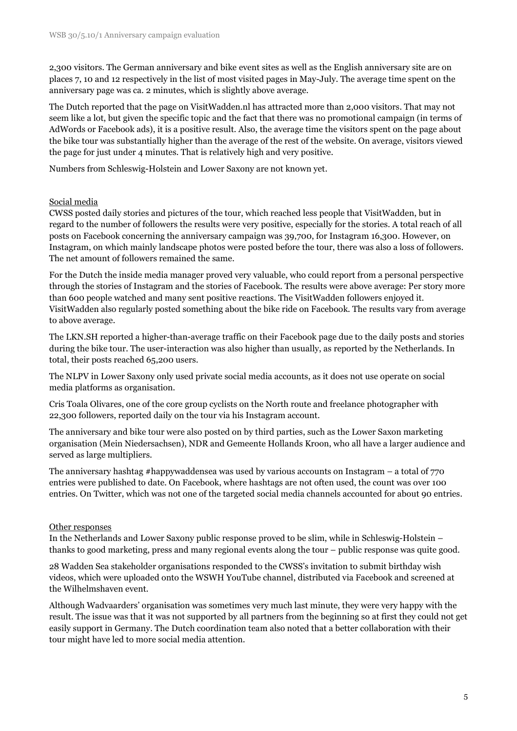2,300 visitors. The German anniversary and bike event sites as well as the English anniversary site are on places 7, 10 and 12 respectively in the list of most visited pages in May-July. The average time spent on the anniversary page was ca. 2 minutes, which is slightly above average.

The Dutch reported that the page on VisitWadden.nl has attracted more than 2,000 visitors. That may not seem like a lot, but given the specific topic and the fact that there was no promotional campaign (in terms of AdWords or Facebook ads), it is a positive result. Also, the average time the visitors spent on the page about the bike tour was substantially higher than the average of the rest of the website. On average, visitors viewed the page for just under 4 minutes. That is relatively high and very positive.

Numbers from Schleswig-Holstein and Lower Saxony are not known yet.

#### Social media

CWSS posted daily stories and pictures of the tour, which reached less people that VisitWadden, but in regard to the number of followers the results were very positive, especially for the stories. A total reach of all posts on Facebook concerning the anniversary campaign was 39,700, for Instagram 16,300. However, on Instagram, on which mainly landscape photos were posted before the tour, there was also a loss of followers. The net amount of followers remained the same.

For the Dutch the inside media manager proved very valuable, who could report from a personal perspective through the stories of Instagram and the stories of Facebook. The results were above average: Per story more than 600 people watched and many sent positive reactions. The VisitWadden followers enjoyed it. VisitWadden also regularly posted something about the bike ride on Facebook. The results vary from average to above average.

The LKN.SH reported a higher-than-average traffic on their Facebook page due to the daily posts and stories during the bike tour. The user-interaction was also higher than usually, as reported by the Netherlands. In total, their posts reached 65,200 users.

The NLPV in Lower Saxony only used private social media accounts, as it does not use operate on social media platforms as organisation.

Cris Toala Olivares, one of the core group cyclists on the North route and freelance photographer with 22,300 followers, reported daily on the tour via his Instagram account.

The anniversary and bike tour were also posted on by third parties, such as the Lower Saxon marketing organisation (Mein Niedersachsen), NDR and Gemeente Hollands Kroon, who all have a larger audience and served as large multipliers.

The anniversary hashtag #happywaddensea was used by various accounts on Instagram – a total of 770 entries were published to date. On Facebook, where hashtags are not often used, the count was over 100 entries. On Twitter, which was not one of the targeted social media channels accounted for about 90 entries.

#### Other responses

In the Netherlands and Lower Saxony public response proved to be slim, while in Schleswig-Holstein – thanks to good marketing, press and many regional events along the tour – public response was quite good.

28 Wadden Sea stakeholder organisations responded to the CWSS's invitation to submit birthday wish videos, which were uploaded onto the WSWH YouTube channel, distributed via Facebook and screened at the Wilhelmshaven event.

Although Wadvaarders' organisation was sometimes very much last minute, they were very happy with the result. The issue was that it was not supported by all partners from the beginning so at first they could not get easily support in Germany. The Dutch coordination team also noted that a better collaboration with their tour might have led to more social media attention.